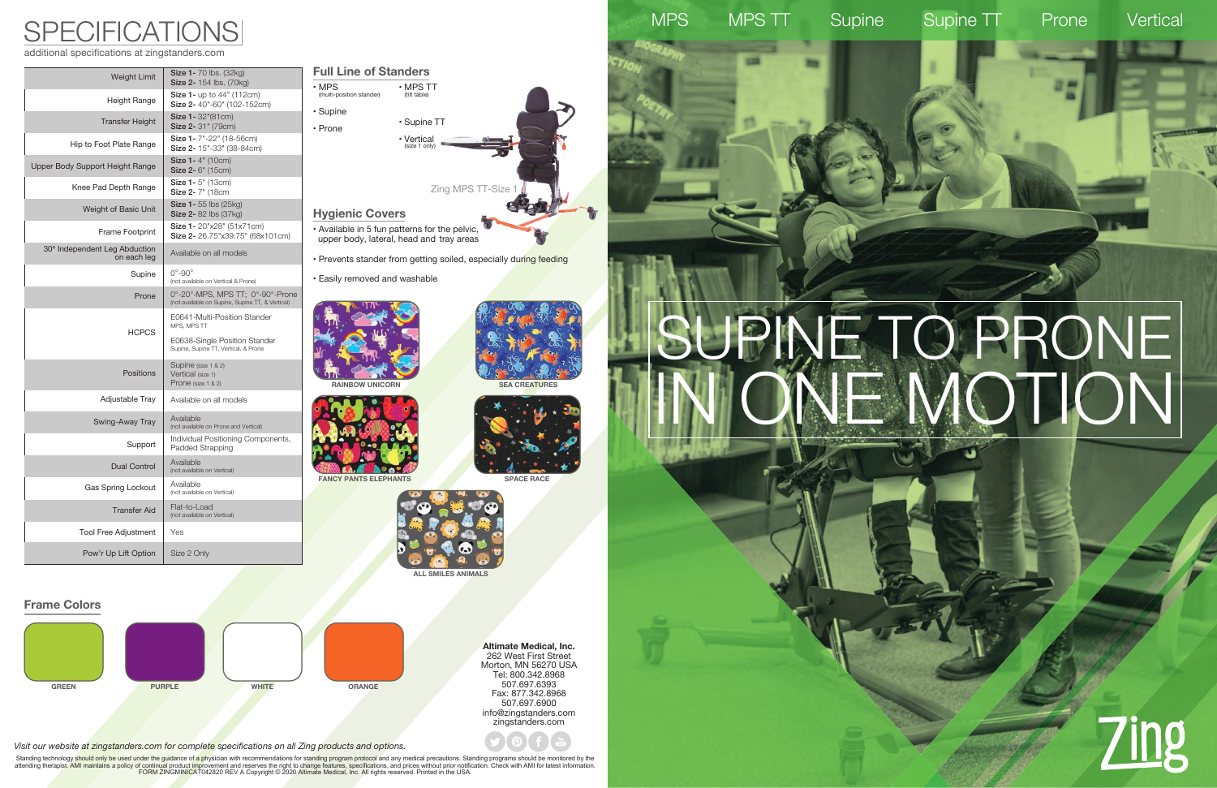# SUPINE TO PRONE IN ONE MOTION







**Altimate Medical, Inc.** 262 West First Street Morton, MN 56270 USA Tel: 800.342.8968 507.697.6393 Fax: 877.342.8968 507.697.6900 info@zingstanders.com zingstanders.com

additional specifications at zingstanders.com

## SPECIFICATIONS

| Weight Limit                                 | <b>Size 1-70 lbs. (32kg)</b><br><b>Size 2-</b> 154 lbs. (70kg)                       |
|----------------------------------------------|--------------------------------------------------------------------------------------|
| Height Range                                 | Size 1- up to 44" (112cm)<br>Size 2-40"-60" (102-152cm)                              |
| <b>Transfer Height</b>                       | Size 1- 32"(81cm)<br>Size 2- 31" (79cm)                                              |
| Hip to Foot Plate Range                      | Size 1- 7"-22" (18-56cm)<br>Size 2- 15"-33" (38-84cm)                                |
| Upper Body Support Height Range              | Size 1-4" (10cm)<br>Size 2- 6" (15cm)                                                |
| Knee Pad Depth Range                         | Size 1-5" (13cm)<br>Size 2- 7" (18cm                                                 |
| Weight of Basic Unit                         | Size 1- 55 lbs (25kg)<br>Size 2- 82 lbs (37kg)                                       |
| Frame Footprint                              | Size 1- 20"x28" (51x71cm)<br>Size 2- 26.75"x39.75" (68x101cm)                        |
| 30° Independent Leg Abduction<br>on each leg | Available on all models                                                              |
| Supine                                       | $0^{\circ}$ -90 $^{\circ}$<br>(not available on Vertical & Prone)                    |
| Prone                                        | 0°-20°-MPS, MPS TT; 0°-90°-Prone<br>(not available on Supine, Supine TT, & Vertical) |
| <b>HCPCS</b>                                 | E0641-Multi-Position Stander<br>MPS, MPS TT                                          |
|                                              | E0638-Single Position Stander<br>Supine, Supine TT, Vertical, & Prone                |
| <b>Positions</b>                             | Supine (size 1 & 2)<br>Vertical (size 1)<br>Prone (size 1 & 2)                       |
| Adjustable Tray                              | Available on all models                                                              |
| Swing-Away Tray                              | Available<br>(not available on Prone and Vertical)                                   |
| Support                                      | Individual Positioning Components,<br>Padded Strapping                               |
| <b>Dual Control</b>                          | Available<br>(not available on Vertical)                                             |
| Gas Spring Lockout                           | Available<br>(not available on Vertical)                                             |
| <b>Transfer Aid</b>                          | Flat-to-Load<br>(not available on Vertical)                                          |
| Tool Free Adjustment                         | Yes                                                                                  |
| Pow'r Up Lift Option                         | Size 2 Only                                                                          |
|                                              |                                                                                      |





**ALL SMILES ANIMALS**

### **SPACE RACE RAINBOW UNICORN FANCY PANTS ELEPHANTS Hygienic Covers** • Available in 5 fun patterns for the pelvic, upper body, lateral, head and tray areas • Prevents stander from getting soiled, especially during feeding • Easily removed and washable Zing MPS TT-Size 1 **Full Line of Standers** • MPS (multi-position stander) • Supine • Prone • MPS TT (tilt table) • Supine TT • Vertical (size 1 only)

 *Visit our website at zingstanders.com for complete specifications on all Zing products and options.*

Standing technology should only be used under the guidance of a physician with recommendations for standing program protocol and any medical precautions. Standing programs should be monitored by the attending therapist. AMI maintains a policy of continual product improvement and reserves the right to change features, specifications, and prices without prior notification. Check with AMI for latest information.<br>FORM ZIN